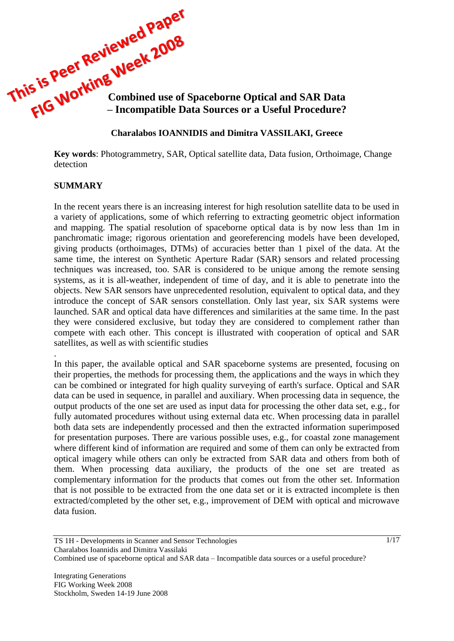

#### **Charalabos IOANNIDIS and Dimitra VASSILAKI, Greece**

**Key words**: Photogrammetry, SAR, Optical satellite data, Data fusion, Orthoimage, Change detection

#### **SUMMARY**

.

In the recent years there is an increasing interest for high resolution satellite data to be used in a variety of applications, some of which referring to extracting geometric object information and mapping. The spatial resolution of spaceborne optical data is by now less than 1m in panchromatic image; rigorous orientation and georeferencing models have been developed, giving products (orthoimages, DTMs) of accuracies better than 1 pixel of the data. At the same time, the interest on Synthetic Aperture Radar (SAR) sensors and related processing techniques was increased, too. SAR is considered to be unique among the remote sensing systems, as it is all-weather, independent of time of day, and it is able to penetrate into the objects. New SAR sensors have unprecedented resolution, equivalent to optical data, and they introduce the concept of SAR sensors constellation. Only last year, six SAR systems were launched. SAR and optical data have differences and similarities at the same time. In the past they were considered exclusive, but today they are considered to complement rather than compete with each other. This concept is illustrated with cooperation of optical and SAR satellites, as well as with scientific studies

In this paper, the available optical and SAR spaceborne systems are presented, focusing on their properties, the methods for processing them, the applications and the ways in which they can be combined or integrated for high quality surveying of earth's surface. Optical and SAR data can be used in sequence, in parallel and auxiliary. When processing data in sequence, the output products of the one set are used as input data for processing the other data set, e.g., for fully automated procedures without using external data etc. When processing data in parallel both data sets are independently processed and then the extracted information superimposed for presentation purposes. There are various possible uses, e.g., for coastal zone management where different kind of information are required and some of them can only be extracted from optical imagery while others can only be extracted from SAR data and others from both of them. When processing data auxiliary, the products of the one set are treated as complementary information for the products that comes out from the other set. Information that is not possible to be extracted from the one data set or it is extracted incomplete is then extracted/completed by the other set, e.g., improvement of DEM with optical and microwave data fusion.

1/17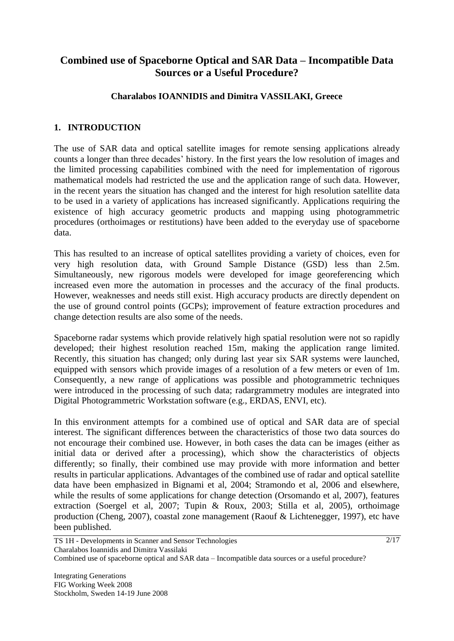# **Combined use of Spaceborne Optical and SAR Data – Incompatible Data Sources or a Useful Procedure?**

## **Charalabos IOANNIDIS and Dimitra VASSILAKI, Greece**

## **1. INTRODUCTION**

The use of SAR data and optical satellite images for remote sensing applications already counts a longer than three decades" history. In the first years the low resolution of images and the limited processing capabilities combined with the need for implementation of rigorous mathematical models had restricted the use and the application range of such data. However, in the recent years the situation has changed and the interest for high resolution satellite data to be used in a variety of applications has increased significantly. Applications requiring the existence of high accuracy geometric products and mapping using photogrammetric procedures (orthoimages or restitutions) have been added to the everyday use of spaceborne data.

This has resulted to an increase of optical satellites providing a variety of choices, even for very high resolution data, with Ground Sample Distance (GSD) less than 2.5m. Simultaneously, new rigorous models were developed for image georeferencing which increased even more the automation in processes and the accuracy of the final products. However, weaknesses and needs still exist. High accuracy products are directly dependent on the use of ground control points (GCPs); improvement of feature extraction procedures and change detection results are also some of the needs.

Spaceborne radar systems which provide relatively high spatial resolution were not so rapidly developed; their highest resolution reached 15m, making the application range limited. Recently, this situation has changed; only during last year six SAR systems were launched, equipped with sensors which provide images of a resolution of a few meters or even of 1m. Consequently, a new range of applications was possible and photogrammetric techniques were introduced in the processing of such data; radargrammetry modules are integrated into Digital Photogrammetric Workstation software (e.g., ERDAS, ENVI, etc).

In this environment attempts for a combined use of optical and SAR data are of special interest. The significant differences between the characteristics of those two data sources do not encourage their combined use. However, in both cases the data can be images (either as initial data or derived after a processing), which show the characteristics of objects differently; so finally, their combined use may provide with more information and better results in particular applications. Advantages of the combined use of radar and optical satellite data have been emphasized in Bignami et al, 2004; Stramondo et al, 2006 and elsewhere, while the results of some applications for change detection (Orsomando et al, 2007), features extraction (Soergel et al, 2007; Tupin & Roux, 2003; Stilla et al, 2005), orthoimage production (Cheng, 2007), coastal zone management (Raouf & Lichtenegger, 1997), etc have been published.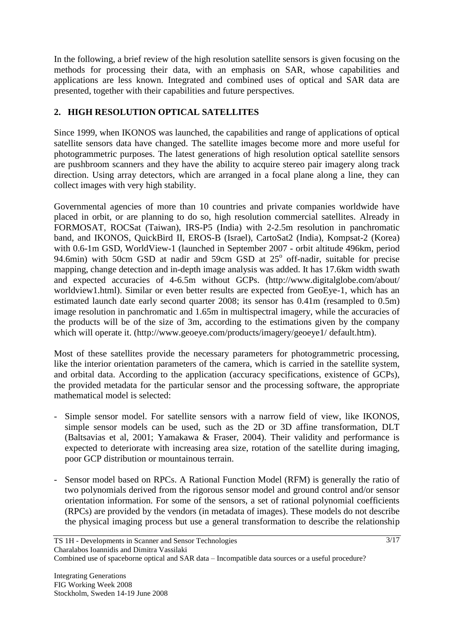In the following, a brief review of the high resolution satellite sensors is given focusing on the methods for processing their data, with an emphasis on SAR, whose capabilities and applications are less known. Integrated and combined uses of optical and SAR data are presented, together with their capabilities and future perspectives.

# **2. HIGH RESOLUTION OPTICAL SATELLITES**

Since 1999, when IKONOS was launched, the capabilities and range of applications of optical satellite sensors data have changed. The satellite images become more and more useful for photogrammetric purposes. The latest generations of high resolution optical satellite sensors are pushbroom scanners and they have the ability to acquire stereo pair imagery along track direction. Using array detectors, which are arranged in a focal plane along a line, they can collect images with very high stability.

Governmental agencies of more than 10 countries and private companies worldwide have placed in orbit, or are planning to do so, high resolution commercial satellites. Already in FORMOSAT, ROCSat (Taiwan), IRS-P5 (India) with 2-2.5m resolution in panchromatic band, and IKONOS, QuickBird II, EROS-B (Israel), CartoSat2 (India), Kompsat-2 (Korea) with 0.6-1m GSD, WorldView-1 (launched in September 2007 - orbit altitude 496km, period 94.6min) with 50cm GSD at nadir and 59cm GSD at 25° off-nadir, suitable for precise mapping, change detection and in-depth image analysis was added. It has 17.6km width swath and expected accuracies of 4-6.5m without GCPs. [\(http://www.digitalglobe.com/about/](http://www.digitalglobe.com/about/%20worldview1.html)  [worldview1.html\)](http://www.digitalglobe.com/about/%20worldview1.html). Similar or even better results are expected from GeoEye-1, which has an estimated launch date early second quarter 2008; its sensor has 0.41m (resampled to 0.5m) image resolution in panchromatic and 1.65m in multispectral imagery, while the accuracies of the products will be of the size of 3m, according to the estimations given by the company which will operate it. [\(http://www.geoeye.com/products/imagery/geoeye1/](http://www.geoeye.com/products/imagery/geoeye1/) default.htm).

Most of these satellites provide the necessary parameters for photogrammetric processing, like the interior orientation parameters of the camera, which is carried in the satellite system, and orbital data. According to the application (accuracy specifications, existence of GCPs), the provided metadata for the particular sensor and the processing software, the appropriate mathematical model is selected:

- Simple sensor model. For satellite sensors with a narrow field of view, like IKONOS, simple sensor models can be used, such as the 2D or 3D affine transformation, DLT (Baltsavias et al, 2001; Yamakawa & Fraser, 2004). Their validity and performance is expected to deteriorate with increasing area size, rotation of the satellite during imaging, poor GCP distribution or mountainous terrain.
- Sensor model based on RPCs. A Rational Function Model (RFM) is generally the ratio of two polynomials derived from the rigorous sensor model and ground control and/or sensor orientation information. For some of the sensors, a set of rational polynomial coefficients (RPCs) are provided by the vendors (in metadata of images). These models do not describe the physical imaging process but use a general transformation to describe the relationship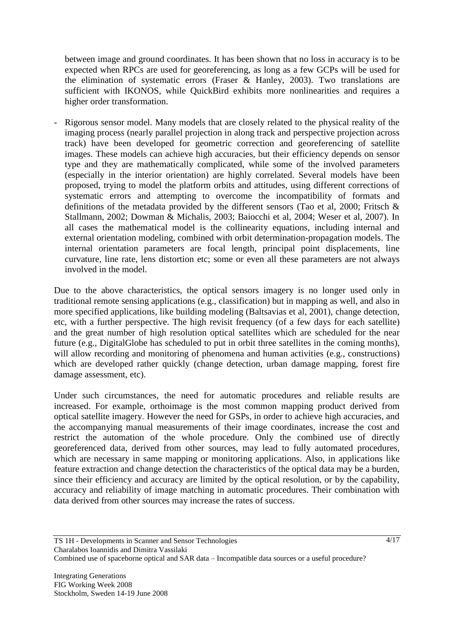between image and ground coordinates. It has been shown that no loss in accuracy is to be expected when RPCs are used for georeferencing, as long as a few GCPs will be used for the elimination of systematic errors (Fraser  $\&$  Hanley, 2003). Two translations are sufficient with IKONOS, while QuickBird exhibits more nonlinearities and requires a higher order transformation.

- Rigorous sensor model. Many models that are closely related to the physical reality of the imaging process (nearly parallel projection in along track and perspective projection across track) have been developed for geometric correction and georeferencing of satellite images. These models can achieve high accuracies, but their efficiency depends on sensor type and they are mathematically complicated, while some of the involved parameters (especially in the interior orientation) are highly correlated. Several models have been proposed, trying to model the platform orbits and attitudes, using different corrections of systematic errors and attempting to overcome the incompatibility of formats and definitions of the metadata provided by the different sensors (Tao et al, 2000; Fritsch & Stallmann, 2002; Dowman & Michalis, 2003; Baiocchi et al, 2004; Weser et al, 2007). In all cases the mathematical model is the collinearity equations, including internal and external orientation modeling, combined with orbit determination-propagation models. The internal orientation parameters are focal length, principal point displacements, line curvature, line rate, lens distortion etc; some or even all these parameters are not always involved in the model.

Due to the above characteristics, the optical sensors imagery is no longer used only in traditional remote sensing applications (e.g., classification) but in mapping as well, and also in more specified applications, like building modeling (Baltsavias et al, 2001), change detection, etc, with a further perspective. The high revisit frequency (of a few days for each satellite) and the great number of high resolution optical satellites which are scheduled for the near future (e.g., DigitalGlobe has scheduled to put in orbit three satellites in the coming months), will allow recording and monitoring of phenomena and human activities (e.g., constructions) which are developed rather quickly (change detection, urban damage mapping, forest fire damage assessment, etc).

Under such circumstances, the need for automatic procedures and reliable results are increased. For example, orthoimage is the most common mapping product derived from optical satellite imagery. However the need for GSPs, in order to achieve high accuracies, and the accompanying manual measurements of their image coordinates, increase the cost and restrict the automation of the whole procedure. Only the combined use of directly georeferenced data, derived from other sources, may lead to fully automated procedures, which are necessary in same mapping or monitoring applications. Also, in applications like feature extraction and change detection the characteristics of the optical data may be a burden, since their efficiency and accuracy are limited by the optical resolution, or by the capability, accuracy and reliability of image matching in automatic procedures. Their combination with data derived from other sources may increase the rates of success.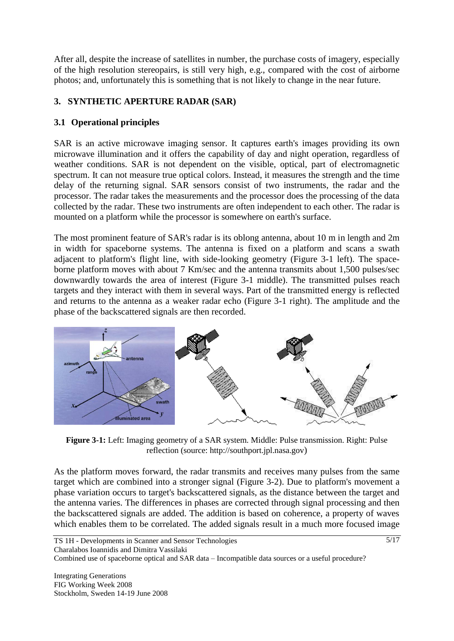After all, despite the increase of satellites in number, the purchase costs of imagery, especially of the high resolution stereopairs, is still very high, e.g., compared with the cost of airborne photos; and, unfortunately this is something that is not likely to change in the near future.

# **3. SYNTHETIC APERTURE RADAR (SAR)**

# **3.1 Operational principles**

SAR is an active microwave imaging sensor. It captures earth's images providing its own microwave illumination and it offers the capability of day and night operation, regardless of weather conditions. SAR is not dependent on the visible, optical, part of electromagnetic spectrum. It can not measure true optical colors. Instead, it measures the strength and the time delay of the returning signal. SAR sensors consist of two instruments, the radar and the processor. The radar takes the measurements and the processor does the processing of the data collected by the radar. These two instruments are often independent to each other. The radar is mounted on a platform while the processor is somewhere on earth's surface.

The most prominent feature of SAR's radar is its oblong antenna, about 10 m in length and 2m in width for spaceborne systems. The antenna is fixed on a platform and scans a swath adjacent to platform's flight line, with side-looking geometry (Figure 3-1 left). The spaceborne platform moves with about 7 Km/sec and the antenna transmits about 1,500 pulses/sec downwardly towards the area of interest (Figure 3-1 middle). The transmitted pulses reach targets and they interact with them in several ways. Part of the transmitted energy is reflected and returns to the antenna as a weaker radar echo (Figure 3-1 right). The amplitude and the phase of the backscattered signals are then recorded.



**Figure 3-1:** Left: Imaging geometry of a SAR system. Middle: Pulse transmission. Right: Pulse reflection (source: http://southport.jpl.nasa.gov)

As the platform moves forward, the radar transmits and receives many pulses from the same target which are combined into a stronger signal (Figure 3-2). Due to platform's movement a phase variation occurs to target's backscattered signals, as the distance between the target and the antenna varies. The differences in phases are corrected through signal processing and then the backscattered signals are added. The addition is based on coherence, a property of waves which enables them to be correlated. The added signals result in a much more focused image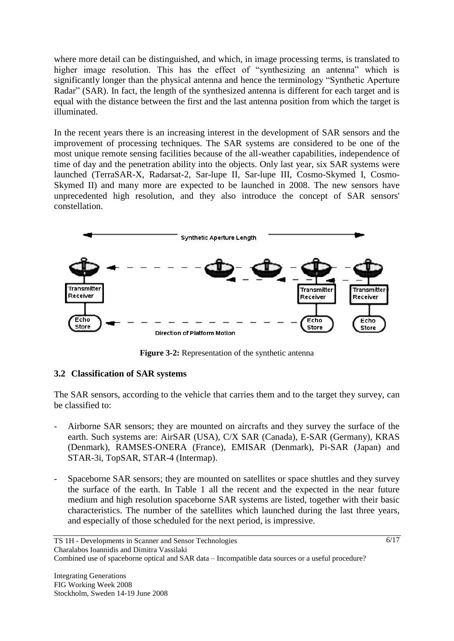where more detail can be distinguished, and which, in image processing terms, is translated to higher image resolution. This has the effect of "synthesizing an antenna" which is significantly longer than the physical antenna and hence the terminology "Synthetic Aperture Radar" (SAR). In fact, the length of the synthesized antenna is different for each target and is equal with the distance between the first and the last antenna position from which the target is illuminated.

In the recent years there is an increasing interest in the development of SAR sensors and the improvement of processing techniques. The SAR systems are considered to be one of the most unique remote sensing facilities because of the all-weather capabilities, independence of time of day and the penetration ability into the objects. Only last year, six SAR systems were launched (TerraSAR-X, Radarsat-2, Sar-lupe II, Sar-lupe III, Cosmo-Skymed I, Cosmo-Skymed II) and many more are expected to be launched in 2008. The new sensors have unprecedented high resolution, and they also introduce the concept of SAR sensors' constellation.



**Figure 3-2:** Representation of the synthetic antenna

## **3.2 Classification of SAR systems**

The SAR sensors, according to the vehicle that carries them and to the target they survey, can be classified to:

- Airborne SAR sensors; they are mounted on aircrafts and they survey the surface of the earth. Such systems are: AirSAR (USA), C/X SAR (Canada), E-SAR (Germany), KRAS (Denmark), RAMSES-ONERA (France), EMISAR (Denmark), Pi-SAR (Japan) and STAR-3i, TopSAR, STAR-4 (Intermap).
- Spaceborne SAR sensors; they are mounted on satellites or space shuttles and they survey the surface of the earth. In Table 1 all the recent and the expected in the near future medium and high resolution spaceborne SAR systems are listed, together with their basic characteristics. The number of the satellites which launched during the last three years, and especially of those scheduled for the next period, is impressive.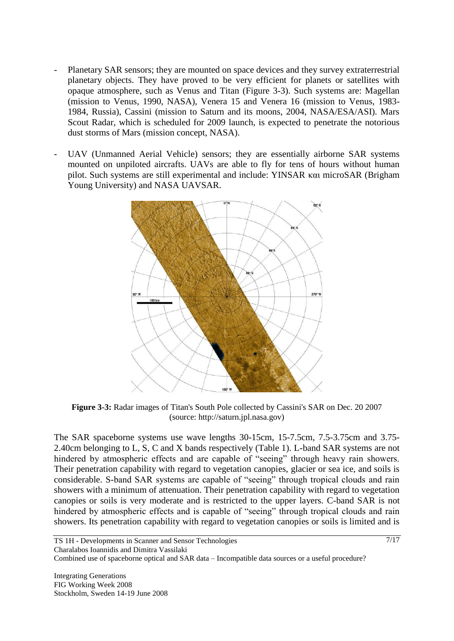- Planetary SAR sensors; they are mounted on space devices and they survey extraterrestrial planetary objects. They have proved to be very efficient for planets or satellites with opaque atmosphere, such as Venus and Titan (Figure 3-3). Such systems are: Magellan (mission to Venus, 1990, NASA), Venera 15 and Venera 16 (mission to Venus, 1983- 1984, Russia), Cassini (mission to Saturn and its moons, 2004, NASA/ESA/ASI). Mars Scout Radar, which is scheduled for 2009 launch, is expected to penetrate the notorious dust storms of Mars (mission concept, NASA).
- UAV (Unmanned Aerial Vehicle) sensors; they are essentially airborne SAR systems mounted on unpiloted aircrafts. UAVs are able to fly for tens of hours without human pilot. Such systems are still experimental and include: YINSAR και microSAR (Brigham Young University) and NASA UAVSAR.



**Figure 3-3:** Radar images of Titan's South Pole collected by Cassini's SAR on Dec. 20 2007 (source: http://saturn.jpl.nasa.gov)

The SAR spaceborne systems use wave lengths 30-15cm, 15-7.5cm, 7.5-3.75cm and 3.75- 2.40cm belonging to L, S, C and X bands respectively (Table 1). L-band SAR systems are not hindered by atmospheric effects and are capable of "seeing" through heavy rain showers. Their penetration capability with regard to vegetation canopies, glacier or sea ice, and soils is considerable. S-band SAR systems are capable of "seeing" through tropical clouds and rain showers with a minimum of attenuation. Their penetration capability with regard to vegetation canopies or soils is very moderate and is restricted to the upper layers. C-band SAR is not hindered by atmospheric effects and is capable of "seeing" through tropical clouds and rain showers. Its penetration capability with regard to vegetation canopies or soils is limited and is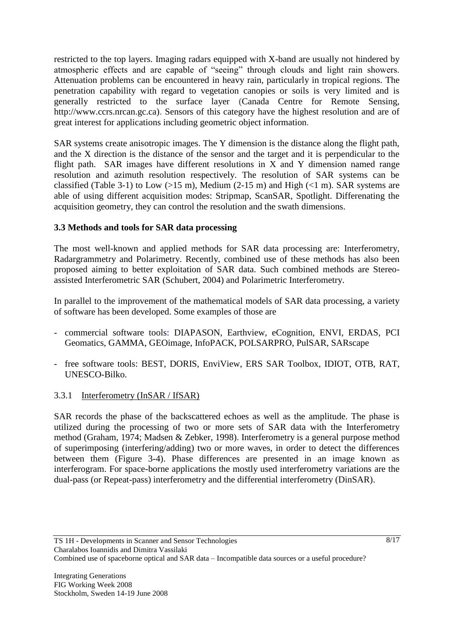restricted to the top layers. Imaging radars equipped with X-band are usually not hindered by atmospheric effects and are capable of "seeing" through clouds and light rain showers. Attenuation problems can be encountered in heavy rain, particularly in tropical regions. The penetration capability with regard to vegetation canopies or soils is very limited and is generally restricted to the surface layer (Canada Centre for Remote Sensing, [http://www.ccrs.nrcan.gc.ca\)](http://www.ccrs.nrcan.gc.ca/). Sensors of this category have the highest resolution and are of great interest for applications including geometric object information.

SAR systems create anisotropic images. The Y dimension is the distance along the flight path, and the X direction is the distance of the sensor and the target and it is perpendicular to the flight path. SAR images have different resolutions in X and Y dimension named range resolution and azimuth resolution respectively. The resolution of SAR systems can be classified (Table 3-1) to Low (>15 m), Medium (2-15 m) and High (<1 m). SAR systems are able of using different acquisition modes: Stripmap, ScanSAR, Spotlight. Differenating the acquisition geometry, they can control the resolution and the swath dimensions.

# **3.3 Methods and tools for SAR data processing**

The most well-known and applied methods for SAR data processing are: Interferometry, Radargrammetry and Polarimetry. Recently, combined use of these methods has also been proposed aiming to better exploitation of SAR data. Such combined methods are Stereoassisted Interferometric SAR (Schubert, 2004) and Polarimetric Interferometry.

In parallel to the improvement of the mathematical models of SAR data processing, a variety of software has been developed. Some examples of those are

- commercial software tools: DIAPASON, Earthview, eCognition, ENVI, ERDAS, PCI Geomatics, GAMMA, GEOimage, InfoPACK, POLSARPRO, PulSAR, SARscape
- free software tools: BEST, DORIS, EnviView, ERS SAR Toolbox, IDIOT, OTB, RAT, UNESCO-Bilko.

## 3.3.1 Interferometry (InSAR / IfSAR)

SAR records the phase of the backscattered echoes as well as the amplitude. The phase is utilized during the processing of two or more sets of SAR data with the Interferometry method (Graham, 1974; Madsen & Zebker, 1998). Interferometry is a general purpose method of superimposing (interfering/adding) two or more waves, in order to detect the differences between them (Figure 3-4). Phase differences are presented in an image known as interferogram. For space-borne applications the mostly used interferometry variations are the dual-pass (or Repeat-pass) interferometry and the differential interferometry (DinSAR).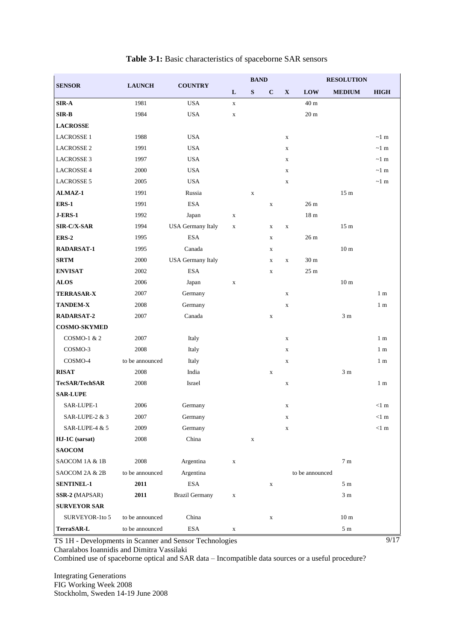| <b>SENSOR</b>         | <b>LAUNCH</b>   | <b>COUNTRY</b>           | <b>BAND</b> |             |              |              |                 | <b>RESOLUTION</b> |                    |  |
|-----------------------|-----------------|--------------------------|-------------|-------------|--------------|--------------|-----------------|-------------------|--------------------|--|
|                       |                 |                          | L           | S           | $\mathbf C$  | $\mathbf{X}$ | <b>LOW</b>      | <b>MEDIUM</b>     | <b>HIGH</b>        |  |
| <b>SIR-A</b>          | 1981            | <b>USA</b>               | $\mathbf X$ |             |              |              | 40 <sub>m</sub> |                   |                    |  |
| SIR-B                 | 1984            | <b>USA</b>               | $\mathbf X$ |             |              |              | 20 <sub>m</sub> |                   |                    |  |
| <b>LACROSSE</b>       |                 |                          |             |             |              |              |                 |                   |                    |  |
| <b>LACROSSE 1</b>     | 1988            | <b>USA</b>               |             |             |              | $\mathbf X$  |                 |                   | $\sim$ 1 m         |  |
| <b>LACROSSE 2</b>     | 1991            | <b>USA</b>               |             |             |              | $\mathbf X$  |                 |                   | $\sim$ 1 m         |  |
| <b>LACROSSE 3</b>     | 1997            | <b>USA</b>               |             |             |              | $\mathbf X$  |                 |                   | $\sim$ 1 m         |  |
| <b>LACROSSE 4</b>     | 2000            | <b>USA</b>               |             |             |              | $\mathbf X$  |                 |                   | $\sim\!1\text{ m}$ |  |
| <b>LACROSSE 5</b>     | 2005            | <b>USA</b>               |             |             |              | $\mathbf X$  |                 |                   | $\sim$ 1 m         |  |
| ALMAZ-1               | 1991            | Russia                   |             | $\mathbf X$ |              |              |                 | 15 <sub>m</sub>   |                    |  |
| ERS-1                 | 1991            | <b>ESA</b>               |             |             | $\mathbf X$  |              | 26 <sub>m</sub> |                   |                    |  |
| <b>J-ERS-1</b>        | 1992            | Japan                    | $\mathbf X$ |             |              |              | 18 <sub>m</sub> |                   |                    |  |
| SIR-C/X-SAR           | 1994            | <b>USA Germany Italy</b> | $\mathbf X$ |             | $\mathbf X$  | $\mathbf X$  |                 | 15 <sub>m</sub>   |                    |  |
| <b>ERS-2</b>          | 1995            | <b>ESA</b>               |             |             | $\mathbf{X}$ |              | 26 m            |                   |                    |  |
| <b>RADARSAT-1</b>     | 1995            | Canada                   |             |             | X            |              |                 | 10 <sub>m</sub>   |                    |  |
| <b>SRTM</b>           | 2000            | <b>USA Germany Italy</b> |             |             | $\mathbf X$  | $\mathbf X$  | 30 m            |                   |                    |  |
| <b>ENVISAT</b>        | 2002            | <b>ESA</b>               |             |             | $\mathbf X$  |              | 25 <sub>m</sub> |                   |                    |  |
| <b>ALOS</b>           | 2006            | Japan                    | $\mathbf X$ |             |              |              |                 | 10 <sub>m</sub>   |                    |  |
| <b>TERRASAR-X</b>     | 2007            | Germany                  |             |             |              | $\mathbf X$  |                 |                   | 1 <sub>m</sub>     |  |
| <b>TANDEM-X</b>       | 2008            | Germany                  |             |             |              | $\mathbf X$  |                 |                   | 1 <sub>m</sub>     |  |
| <b>RADARSAT-2</b>     | 2007            | Canada                   |             |             | $\mathbf X$  |              |                 | 3 <sub>m</sub>    |                    |  |
| <b>COSMO-SKYMED</b>   |                 |                          |             |             |              |              |                 |                   |                    |  |
| COSMO-1 & 2           | 2007            | Italy                    |             |             |              | $\mathbf X$  |                 |                   | 1 <sub>m</sub>     |  |
| COSMO-3               | 2008            | Italy                    |             |             |              | $\mathbf X$  |                 |                   | 1 <sub>m</sub>     |  |
| COSMO-4               | to be announced | Italy                    |             |             |              | $\mathbf X$  |                 |                   | 1 <sub>m</sub>     |  |
| <b>RISAT</b>          | 2008            | India                    |             |             | $\mathbf X$  |              |                 | 3 <sub>m</sub>    |                    |  |
| <b>TecSAR/TechSAR</b> | 2008            | Israel                   |             |             |              | $\mathbf X$  |                 |                   | 1 <sub>m</sub>     |  |
| <b>SAR-LUPE</b>       |                 |                          |             |             |              |              |                 |                   |                    |  |
| SAR-LUPE-1            | 2006            | Germany                  |             |             |              | $\mathbf X$  |                 |                   | $<1$ m             |  |
| SAR-LUPE-2 & 3        | 2007            | Germany                  |             |             |              | $\mathbf X$  |                 |                   | $<1$ m             |  |
| SAR-LUPE-4 & 5        | 2009            | Germany                  |             |             |              | $\mathbf X$  |                 |                   | $<1$ m             |  |
| HJ-1C (sarsat)        | 2008            | China                    |             | $\mathbf X$ |              |              |                 |                   |                    |  |
| <b>SAOCOM</b>         |                 |                          |             |             |              |              |                 |                   |                    |  |
| SAOCOM 1A & 1B        | 2008            | Argentina                | $\mathbf X$ |             |              |              |                 | $7\ {\rm m}$      |                    |  |
| SAOCOM 2A & 2B        | to be announced | Argentina                |             |             |              |              | to be announced |                   |                    |  |
| <b>SENTINEL-1</b>     | 2011            | <b>ESA</b>               |             |             | $\mathbf X$  |              |                 | 5m                |                    |  |
| SSR-2 (MAPSAR)        | 2011            | <b>Brazil Germany</b>    | $\mathbf X$ |             |              |              |                 | 3 <sub>m</sub>    |                    |  |
| <b>SURVEYOR SAR</b>   |                 |                          |             |             |              |              |                 |                   |                    |  |
| SURVEYOR-1to 5        | to be announced | China                    |             |             | $\mathbf X$  |              |                 | 10 <sub>m</sub>   |                    |  |
| TerraSAR-L            | to be announced | $_{\rm ESA}$             | X           |             |              |              |                 | 5m                |                    |  |

#### **Table 3-1:** Basic characteristics of spaceborne SAR sensors

TS 1H - Developments in Scanner and Sensor Technologies

Charalabos Ioannidis and Dimitra Vassilaki

Combined use of spaceborne optical and SAR data – Incompatible data sources or a useful procedure?

Integrating Generations FIG Working Week 2008 Stockholm, Sweden 14-19 June 2008  $\frac{9}{17}$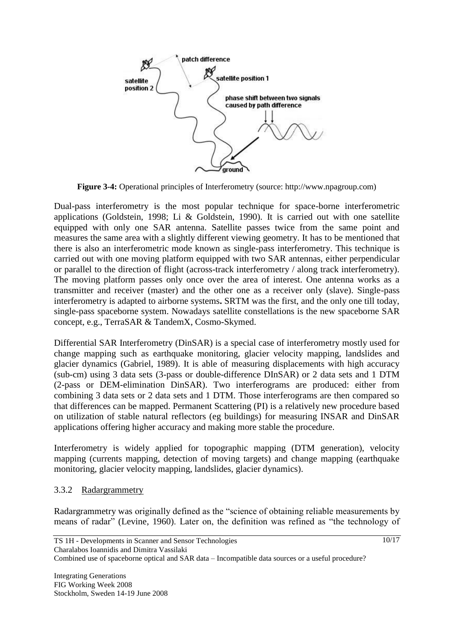

**Figure 3-4:** Operational principles of Interferometry (source: http://www.npagroup.com)

Dual-pass interferometry is the most popular technique for space-borne interferometric applications (Goldstein, 1998; Li & Goldstein, 1990). It is carried out with one satellite equipped with only one SAR antenna. Satellite passes twice from the same point and measures the same area with a slightly different viewing geometry. It has to be mentioned that there is also an interferometric mode known as single-pass interferometry. This technique is carried out with one moving platform equipped with two SAR antennas, either perpendicular or parallel to the direction of flight (across-track interferometry / along track interferometry). The moving platform passes only once over the area of interest. One antenna works as a transmitter and receiver (master) and the other one as a receiver only (slave). Single-pass interferometry is adapted to airborne systems**.** SRTM was the first, and the only one till today, single-pass spaceborne system. Nowadays satellite constellations is the new spaceborne SAR concept, e.g., TerraSAR & TandemX, Cosmo-Skymed.

Differential SAR Interferometry (DinSAR) is a special case of interferometry mostly used for change mapping such as earthquake monitoring, glacier velocity mapping, landslides and glacier dynamics (Gabriel, 1989). It is able of measuring displacements with high accuracy (sub-cm) using 3 data sets (3-pass or double-difference DInSAR) or 2 data sets and 1 DTM (2-pass or DEM-elimination DinSAR). Two interferograms are produced: either from combining 3 data sets or 2 data sets and 1 DTM. Those interferograms are then compared so that differences can be mapped. Permanent Scattering (PI) is a relatively new procedure based on utilization of stable natural reflectors (eg buildings) for measuring INSAR and DinSAR applications offering higher accuracy and making more stable the procedure.

Interferometry is widely applied for topographic mapping (DTM generation), velocity mapping (currents mapping, detection of moving targets) and change mapping (earthquake monitoring, glacier velocity mapping, landslides, glacier dynamics).

## 3.3.2 Radargrammetry

Radargrammetry was originally defined as the "science of obtaining reliable measurements by means of radar" (Levine, 1960). Later on, the definition was refined as "the technology of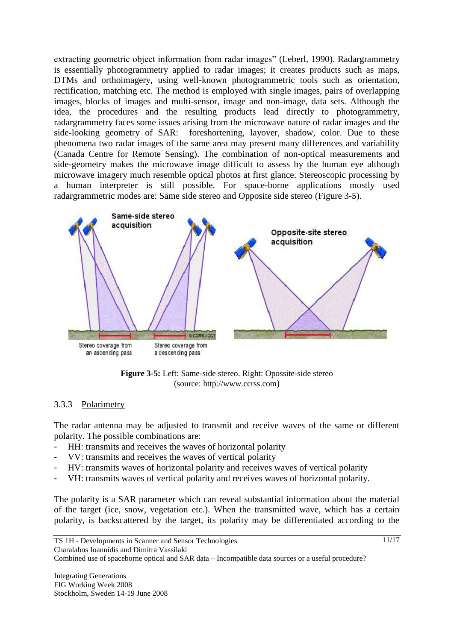extracting geometric object information from radar images" (Leberl, 1990). Radargrammetry is essentially photogrammetry applied to radar images; it creates products such as maps, DTMs and orthoimagery, using well-known photogrammetric tools such as orientation, rectification, matching etc. The method is employed with single images, pairs of overlapping images, blocks of images and multi-sensor, image and non-image, data sets. Although the idea, the procedures and the resulting products lead directly to photogrammetry, radargrammetry faces some issues arising from the microwave nature of radar images and the side-looking geometry of SAR: foreshortening, layover, shadow, color. Due to these phenomena two radar images of the same area may present many differences and variability (Canada Centre for Remote Sensing). The combination of non-optical measurements and side-geometry makes the microwave image difficult to assess by the human eye although microwave imagery much resemble optical photos at first glance. Stereoscopic processing by a human interpreter is still possible. For space-borne applications mostly used radargrammetric modes are: Same side stereo and Opposite side stereo (Figure 3-5).



**Figure 3-5:** Left: Same-side stereo. Right: Opossite-side stereo (source: [http://www.ccrss.com](http://www.ccrss.com/))

## 3.3.3 Polarimetry

The radar antenna may be adjusted to transmit and receive waves of the same or different polarity. The possible combinations are:

- HH: transmits and receives the waves of horizontal polarity
- VV: transmits and receives the waves of vertical polarity
- HV: transmits waves of horizontal polarity and receives waves of vertical polarity
- VH: transmits waves of vertical polarity and receives waves of horizontal polarity.

The polarity is a SAR parameter which can reveal substantial information about the material of the target (ice, snow, vegetation etc.). When the transmitted wave, which has a certain polarity, is backscattered by the target, its polarity may be differentiated according to the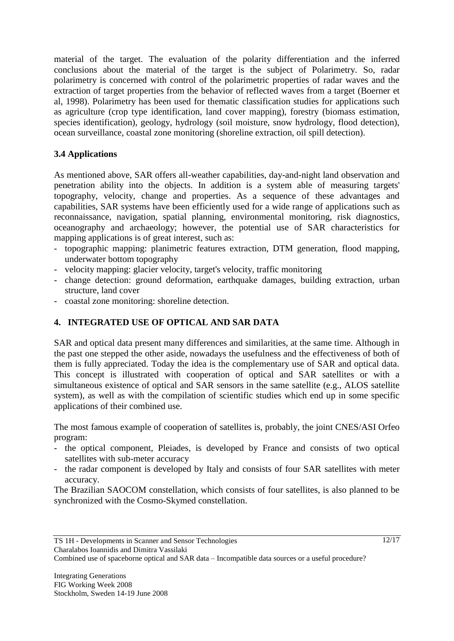material of the target. The evaluation of the polarity differentiation and the inferred conclusions about the material of the target is the subject of Polarimetry. So, radar polarimetry is concerned with control of the polarimetric properties of radar waves and the extraction of target properties from the behavior of reflected waves from a target (Boerner et al, 1998). Polarimetry has been used for thematic classification studies for applications such as agriculture (crop type identification, land cover mapping), forestry (biomass estimation, species identification), geology, hydrology (soil moisture, snow hydrology, flood detection), ocean surveillance, coastal zone monitoring (shoreline extraction, oil spill detection).

# **3.4 Applications**

As mentioned above, SAR offers all-weather capabilities, day-and-night land observation and penetration ability into the objects. In addition is a system able of measuring targets' topography, velocity, change and properties. As a sequence of these advantages and capabilities, SAR systems have been efficiently used for a wide range of applications such as reconnaissance, navigation, spatial planning, environmental monitoring, risk diagnostics, oceanography and archaeology; however, the potential use of SAR characteristics for mapping applications is of great interest, such as:

- topographic mapping: planimetric features extraction, DTM generation, flood mapping, underwater bottom topography
- velocity mapping: glacier velocity, target's velocity, traffic monitoring
- change detection: ground deformation, earthquake damages, building extraction, urban structure, land cover
- coastal zone monitoring: shoreline detection.

# **4. INTEGRATED USE OF OPTICAL AND SAR DATA**

SAR and optical data present many differences and similarities, at the same time. Although in the past one stepped the other aside, nowadays the usefulness and the effectiveness of both of them is fully appreciated. Today the idea is the complementary use of SAR and optical data. This concept is illustrated with cooperation of optical and SAR satellites or with a simultaneous existence of optical and SAR sensors in the same satellite (e.g., ALOS satellite system), as well as with the compilation of scientific studies which end up in some specific applications of their combined use.

The most famous example of cooperation of satellites is, probably, the joint CNES/ASI Orfeo program:

- the optical component, Pleiades, is developed by France and consists of two optical satellites with sub-meter accuracy
- the radar component is developed by Italy and consists of four SAR satellites with meter accuracy.

The Brazilian SAOCOM constellation, which consists of four satellites, is also planned to be synchronized with the Cosmo-Skymed constellation.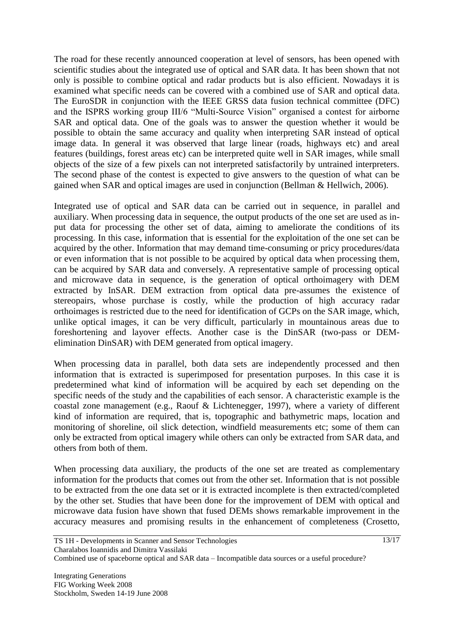The road for these recently announced cooperation at level of sensors, has been opened with scientific studies about the integrated use of optical and SAR data. It has been shown that not only is possible to combine optical and radar products but is also efficient. Nowadays it is examined what specific needs can be covered with a combined use of SAR and optical data. The EuroSDR in conjunction with the IEEE GRSS data fusion technical committee (DFC) and the ISPRS working group III/6 "Multi-Source Vision" organised a contest for airborne SAR and optical data. One of the goals was to answer the question whether it would be possible to obtain the same accuracy and quality when interpreting SAR instead of optical image data. In general it was observed that large linear (roads, highways etc) and areal features (buildings, forest areas etc) can be interpreted quite well in SAR images, while small objects of the size of a few pixels can not interpreted satisfactorily by untrained interpreters. The second phase of the contest is expected to give answers to the question of what can be gained when SAR and optical images are used in conjunction (Bellman & Hellwich, 2006).

Integrated use of optical and SAR data can be carried out in sequence, in parallel and auxiliary. When processing data in sequence, the output products of the one set are used as input data for processing the other set of data, aiming to ameliorate the conditions of its processing. In this case, information that is essential for the exploitation of the one set can be acquired by the other. Information that may demand time-consuming or pricy procedures/data or even information that is not possible to be acquired by optical data when processing them, can be acquired by SAR data and conversely. A representative sample of processing optical and microwave data in sequence, is the generation of optical orthoimagery with DEM extracted by InSAR. DEM extraction from optical data pre-assumes the existence of stereopairs, whose purchase is costly, while the production of high accuracy radar orthoimages is restricted due to the need for identification of GCPs on the SAR image, which, unlike optical images, it can be very difficult, particularly in mountainous areas due to foreshortening and layover effects. Another case is the DinSAR (two-pass or DEMelimination DinSAR) with DEM generated from optical imagery.

When processing data in parallel, both data sets are independently processed and then information that is extracted is superimposed for presentation purposes. In this case it is predetermined what kind of information will be acquired by each set depending on the specific needs of the study and the capabilities of each sensor. A characteristic example is the coastal zone management (e.g., Raouf & Lichtenegger, 1997), where a variety of different kind of information are required, that is, topographic and bathymetric maps, location and monitoring of shoreline, oil slick detection, windfield measurements etc; some of them can only be extracted from optical imagery while others can only be extracted from SAR data, and others from both of them.

When processing data auxiliary, the products of the one set are treated as complementary information for the products that comes out from the other set. Information that is not possible to be extracted from the one data set or it is extracted incomplete is then extracted/completed by the other set. Studies that have been done for the improvement of DEM with optical and microwave data fusion have shown that fused DEMs shows remarkable improvement in the accuracy measures and promising results in the enhancement of completeness (Crosetto,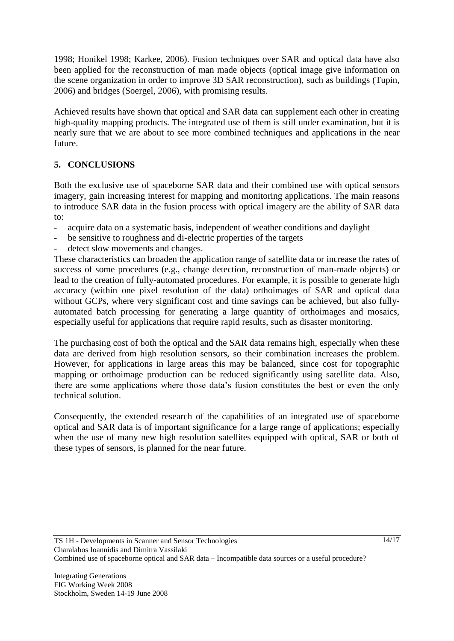1998; Honikel 1998; Karkee, 2006). Fusion techniques over SAR and optical data have also been applied for the reconstruction of man made objects (optical image give information on the scene organization in order to improve 3D SAR reconstruction), such as buildings (Tupin, 2006) and bridges (Soergel, 2006), with promising results.

Achieved results have shown that optical and SAR data can supplement each other in creating high-quality mapping products. The integrated use of them is still under examination, but it is nearly sure that we are about to see more combined techniques and applications in the near future.

# **5. CONCLUSIONS**

Both the exclusive use of spaceborne SAR data and their combined use with optical sensors imagery, gain increasing interest for mapping and monitoring applications. The main reasons to introduce SAR data in the fusion process with optical imagery are the ability of SAR data to:

- acquire data on a systematic basis, independent of weather conditions and daylight
- be sensitive to roughness and di-electric properties of the targets
- detect slow movements and changes.

These characteristics can broaden the application range of satellite data or increase the rates of success of some procedures (e.g., change detection, reconstruction of man-made objects) or lead to the creation of fully-automated procedures. For example, it is possible to generate high accuracy (within one pixel resolution of the data) orthoimages of SAR and optical data without GCPs, where very significant cost and time savings can be achieved, but also fullyautomated batch processing for generating a large quantity of orthoimages and mosaics, especially useful for applications that require rapid results, such as disaster monitoring.

The purchasing cost of both the optical and the SAR data remains high, especially when these data are derived from high resolution sensors, so their combination increases the problem. However, for applications in large areas this may be balanced, since cost for topographic mapping or orthoimage production can be reduced significantly using satellite data. Also, there are some applications where those data"s fusion constitutes the best or even the only technical solution.

Consequently, the extended research of the capabilities of an integrated use of spaceborne optical and SAR data is of important significance for a large range of applications; especially when the use of many new high resolution satellites equipped with optical, SAR or both of these types of sensors, is planned for the near future.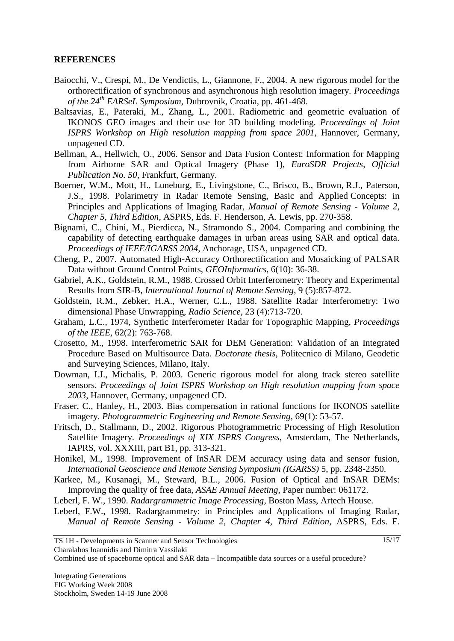#### **REFERENCES**

- Baiocchi, V., Crespi, M., De Vendictis, L., Giannone, F., 2004. A new rigorous model for the orthorectification of synchronous and asynchronous high resolution imagery. *Proceedings of the 24th EARSeL Symposium,* Dubrovnik, Croatia, pp. 461-468.
- Baltsavias, E., Pateraki, M., Zhang, L., 2001. Radiometric and geometric evaluation of IKONOS GEO images and their use for 3D building modeling. *Proceedings of Joint ISPRS Workshop on High resolution mapping from space 2001*, Hannover, Germany, unpagened CD.
- Bellman, A., Hellwich, O., 2006. Sensor and Data Fusion Contest: Information for Mapping from Airborne SAR and Optical Imagery (Phase 1), *EuroSDR Projects*, *Official Publication No. 50*, Frankfurt, Germany.
- Boerner, W.M., Mott, H., Luneburg, E., Livingstone, C., Brisco, B., Brown, R.J., Paterson, J.S., 1998. Polarimetry in Radar Remote Sensing, Basic and Applied Concepts: in Principles and Applications of Imaging Radar, *Manual of Remote Sensing - Volume 2, Chapter 5, Third Edition*, ASPRS, Eds. F. Henderson, A. Lewis, pp. 270-358.
- Bignami, C., Chini, M., Pierdicca, N., Stramondo S., 2004. Comparing and combining the capability of detecting earthquake damages in urban areas using SAR and optical data. *Proceedings of IEEE/IGARSS 2004*, Anchorage, USA, unpagened CD.
- Cheng, P., 2007. Automated High-Accuracy Orthorectification and Mosaicking of PALSAR Data without Ground Control Points, *GEOInformatics,* 6(10): 36-38.
- Gabriel, A.K., Goldstein, R.M., 1988. Crossed Orbit Interferometry: Theory and Experimental Results from SIR-B, *International Journal of Remote Sensing*, 9 (5):857-872.
- Goldstein, R.M., Zebker, H.A., Werner, C.L., 1988. Satellite Radar Interferometry: Two dimensional Phase Unwrapping, *Radio Science*, 23 (4):713-720.
- Graham, L.C., 1974, Synthetic Interferometer Radar for Topographic Mapping, *Proceedings of the IEEE,* 62(2): 763-768.
- Crosetto, M., 1998. Interferometric SAR for DEM Generation: Validation of an Integrated Procedure Based on Multisource Data. *Doctorate thesis*, Politecnico di Milano, Geodetic and Surveying Sciences, Milano, Italy.
- Dowman, I.J., Michalis, P. 2003. Generic rigorous model for along track stereo satellite sensors. *Proceedings of Joint ISPRS Workshop on High resolution mapping from space 2003*, Hannover, Germany, unpagened CD.
- Fraser, C., Hanley, H., 2003. Bias compensation in rational functions for IKONOS satellite imagery. *Photogrammetric Engineering and Remote Sensing,* 69(1): 53-57.
- Fritsch, D., Stallmann, D., 2002. Rigorous Photogrammetric Processing of High Resolution Satellite Imagery. *Proceedings of XIX ISPRS Congress*, Amsterdam, The Netherlands, IAPRS, vol. XXXIII, part B1, pp. 313-321.
- Honikel, M., 1998. Improvement of InSAR DEM accuracy using data and sensor fusion, *International Geoscience and Remote Sensing Symposium (IGARSS)* 5, pp. 2348-2350.
- Karkee, M., Kusanagi, M., Steward, B.L., 2006. Fusion of Optical and InSAR DEMs: Improving the quality of free data, *ASAE Annual Meeting*, Paper number: 061172.
- Leberl, F. W., 1990. *Radargrammetric Image Processing*, Boston Mass, Artech House.
- Leberl, F.W., 1998. Radargrammetry: in Principles and Applications of Imaging Radar, *Manual of Remote Sensing - Volume 2, Chapter 4, Third Edition*, ASPRS, Eds. F.

Charalabos Ioannidis and Dimitra Vassilaki

Combined use of spaceborne optical and SAR data – Incompatible data sources or a useful procedure?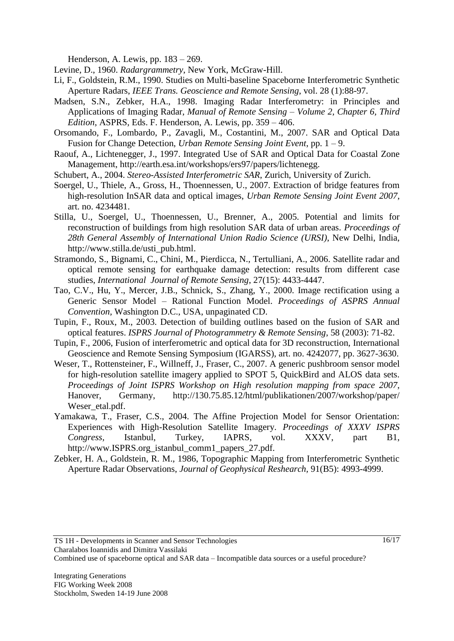Henderson, A. Lewis, pp. 183 – 269.

- Levine, D., 1960. *Radargrammetry*, New York, McGraw-Hill.
- Li, F., Goldstein, R.M., 1990. Studies on Multi-baseline Spaceborne Interferometric Synthetic Aperture Radars, *IEEE Trans. Geoscience and Remote Sensing*, vol. 28 (1):88-97.
- Madsen, S.N., Zebker, H.A., 1998. Imaging Radar Interferometry: in Principles and Applications of Imaging Radar, *Manual of Remote Sensing – Volume 2, Chapter 6, Third Edition*, ASPRS, Eds. F. Henderson, A. Lewis, pp. 359 – 406.
- Orsomando, F., Lombardo, P., Zavagli, M., Costantini, M., 2007. SAR and Optical Data Fusion for Change Detection, *Urban Remote Sensing Joint Event*, pp. 1 – 9.
- Raouf, A., Lichtenegger, J., 1997. Integrated Use of SAR and Optical Data for Coastal Zone Management, [http://earth.esa.int/workshops/ers97/papers/lichtenegg.](http://earth.esa.int/workshops/ers97/papers/lichtenegg)
- Schubert, A., 2004. *Stereo-Assisted Interferometric SAR*, Zurich, University of Zurich.
- Soergel, U., Thiele, A., Gross, H., Thoennessen, U., 2007. Extraction of bridge features from high-resolution InSAR data and optical images, *Urban Remote Sensing Joint Event 2007*, art. no. 4234481.
- Stilla, U., Soergel, U., Thoennessen, U., Brenner, A., 2005. Potential and limits for reconstruction of buildings from high resolution SAR data of urban areas. *Proceedings of 28th General Assembly of International Union Radio Science (URSI)*, New Delhi, India, http://www.stilla.de/usti\_pub.html.
- Stramondo, S., Bignami, C., Chini, M., Pierdicca, N., Tertulliani, A., 2006. Satellite radar and optical remote sensing for earthquake damage detection: results from different case studies, *International Journal of Remote Sensing*, 27(15): 4433-4447.
- Tao, C.V., Hu, Y., Mercer, J.B., Schnick, S., Zhang, Y., 2000. Image rectification using a Generic Sensor Model – Rational Function Model. *Proceedings of ASPRS Annual Convention,* Washington D.C., USA, unpaginated CD.
- Tupin, F., Roux, M., 2003. Detection of building outlines based on the fusion of SAR and optical features. *ISPRS Journal of Photogrammetry & Remote Sensing*, 58 (2003): 71-82.
- Tupin, F., 2006, Fusion of interferometric and optical data for 3D reconstruction, International Geoscience and Remote Sensing Symposium (IGARSS), art. no. 4242077, pp. 3627-3630.
- Weser, T., Rottensteiner, F., Willneff, J., Fraser, C., 2007. A generic pushbroom sensor model for high-resolution satellite imagery applied to SPOT 5, QuickBird and ALOS data sets. *Proceedings of Joint ISPRS Workshop on High resolution mapping from space 2007*, Hanover, Germany, <http://130.75.85.12/html/publikationen/2007/workshop/paper/> Weser\_etal.pdf.
- Yamakawa, T., Fraser, C.S., 2004. The Affine Projection Model for Sensor Orientation: Experiences with High-Resolution Satellite Imagery. *Proceedings of XXXV ISPRS Congress,* Istanbul, Turkey, IAPRS, vol. XXXV, part B1, http://www.ISPRS.org\_istanbul\_comm1\_papers\_27.pdf.
- Zebker, H. A., Goldstein, R. M., 1986, Topographic Mapping from Interferometric Synthetic Aperture Radar Observations, *Journal of Geophysical Reshearch,* 91(B5): 4993-4999.